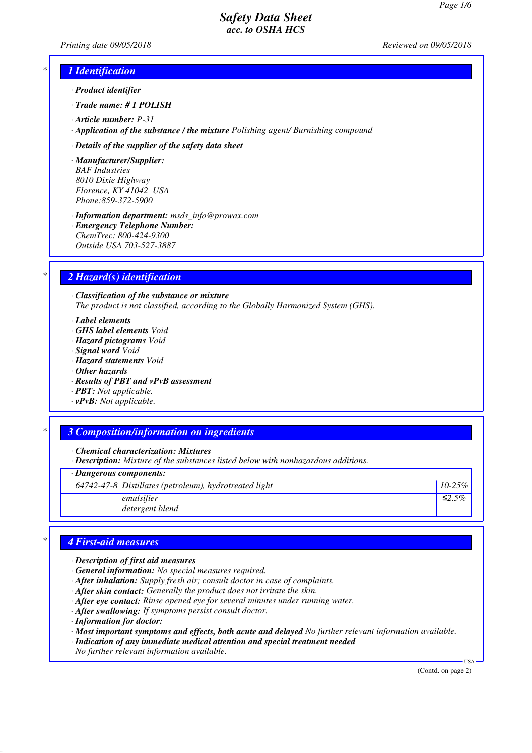*Printing date 09/05/2018 Reviewed on 09/05/2018*

\_\_\_\_\_\_\_\_\_\_\_\_\_\_\_\_\_\_\_\_\_\_\_\_\_\_

## *\* 1 Identification*

- *· Product identifier*
- *· Trade name: # 1 POLISH*
- *· Article number: P-31*
- *· Application of the substance / the mixture Polishing agent/ Burnishing compound*

#### *· Details of the supplier of the safety data sheet*

- *· Manufacturer/Supplier: BAF Industries 8010 Dixie Highway Florence, KY 41042 USA Phone:859-372-5900*
- *· Information department: msds\_info@prowax.com · Emergency Telephone Number: ChemTrec: 800-424-9300 Outside USA 703-527-3887*

### *\* 2 Hazard(s) identification*

*· Classification of the substance or mixture The product is not classified, according to the Globally Harmonized System (GHS).*

- *· Label elements*
- *· GHS label elements Void*
- *· Hazard pictograms Void*
- *· Signal word Void*
- *· Hazard statements Void*
- *· Other hazards*
- *· Results of PBT and vPvB assessment*
- *· PBT: Not applicable.*
- *· vPvB: Not applicable.*

#### *\* 3 Composition/information on ingredients*

*· Chemical characterization: Mixtures*

*· Description: Mixture of the substances listed below with nonhazardous additions.*

#### *· Dangerous components:*

| $64742-47-8$ Distillates (petroleum), hydrotreated light | $10-25\%$ |
|----------------------------------------------------------|-----------|
| emulsifier                                               | ≤2.5%     |
| detergent blend                                          |           |

## *\* 4 First-aid measures*

- *· Description of first aid measures*
- *· General information: No special measures required.*
- *· After inhalation: Supply fresh air; consult doctor in case of complaints.*
- *· After skin contact: Generally the product does not irritate the skin.*
- *· After eye contact: Rinse opened eye for several minutes under running water.*
- *· After swallowing: If symptoms persist consult doctor.*
- *· Information for doctor:*

*· Most important symptoms and effects, both acute and delayed No further relevant information available.*

*· Indication of any immediate medical attention and special treatment needed*

*No further relevant information available.*

(Contd. on page 2)

USA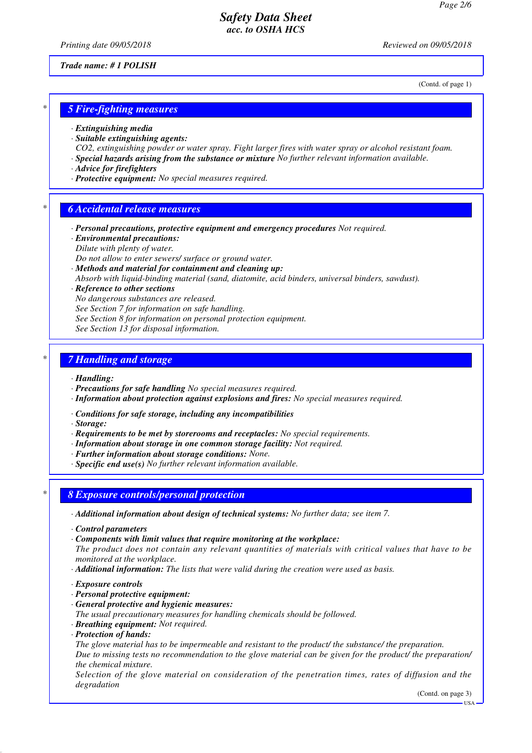*Printing date 09/05/2018 Reviewed on 09/05/2018*

*Trade name: # 1 POLISH*

(Contd. of page 1)

## *\* 5 Fire-fighting measures*

- *· Extinguishing media*
- *· Suitable extinguishing agents:*
- *CO2, extinguishing powder or water spray. Fight larger fires with water spray or alcohol resistant foam.*
- *· Special hazards arising from the substance or mixture No further relevant information available.*
- *· Advice for firefighters*
- *· Protective equipment: No special measures required.*

### *\* 6 Accidental release measures*

- *· Personal precautions, protective equipment and emergency procedures Not required.*
- *· Environmental precautions: Dilute with plenty of water.*
- *Do not allow to enter sewers/ surface or ground water.*
- *· Methods and material for containment and cleaning up:*
- *Absorb with liquid-binding material (sand, diatomite, acid binders, universal binders, sawdust).*
- *· Reference to other sections*
- *No dangerous substances are released.*
- *See Section 7 for information on safe handling.*
- *See Section 8 for information on personal protection equipment.*
- *See Section 13 for disposal information.*

### *\* 7 Handling and storage*

- *· Handling:*
- *· Precautions for safe handling No special measures required.*
- *· Information about protection against explosions and fires: No special measures required.*
- *· Conditions for safe storage, including any incompatibilities*
- *· Storage:*
- *· Requirements to be met by storerooms and receptacles: No special requirements.*
- *· Information about storage in one common storage facility: Not required.*
- *· Further information about storage conditions: None.*
- *· Specific end use(s) No further relevant information available.*
- *\* 8 Exposure controls/personal protection*
- *· Additional information about design of technical systems: No further data; see item 7.*
- *· Control parameters*
- *· Components with limit values that require monitoring at the workplace:*
- *The product does not contain any relevant quantities of materials with critical values that have to be monitored at the workplace.*
- *· Additional information: The lists that were valid during the creation were used as basis.*
- *· Exposure controls*
- *· Personal protective equipment:*
- *· General protective and hygienic measures:*
- *The usual precautionary measures for handling chemicals should be followed.*
- *· Breathing equipment: Not required.*
- *· Protection of hands:*

*The glove material has to be impermeable and resistant to the product/ the substance/ the preparation. Due to missing tests no recommendation to the glove material can be given for the product/ the preparation/ the chemical mixture.*

*Selection of the glove material on consideration of the penetration times, rates of diffusion and the degradation*

(Contd. on page 3)

USA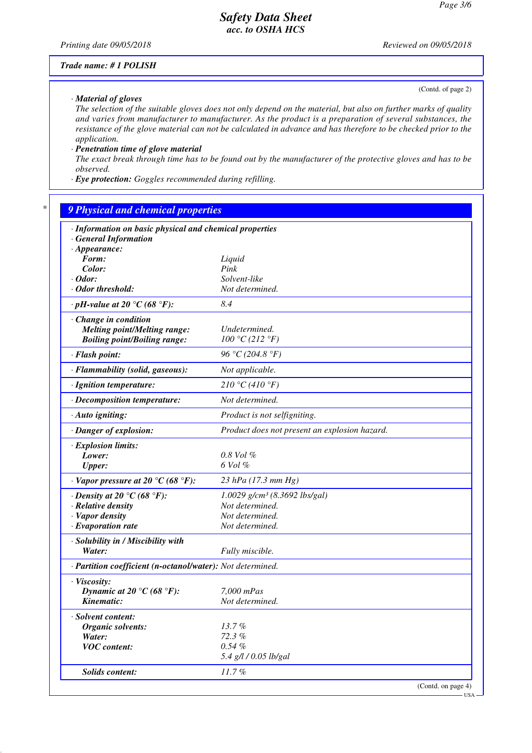*Printing date 09/05/2018 Reviewed on 09/05/2018*

(Contd. of page 2)

#### *Trade name: # 1 POLISH*

*· Material of gloves*

*The selection of the suitable gloves does not only depend on the material, but also on further marks of quality and varies from manufacturer to manufacturer. As the product is a preparation of several substances, the resistance of the glove material can not be calculated in advance and has therefore to be checked prior to the application.*

*· Penetration time of glove material*

*The exact break through time has to be found out by the manufacturer of the protective gloves and has to be observed.*

*· Eye protection: Goggles recommended during refilling.*

# *\* 9 Physical and chemical properties*

| · Information on basic physical and chemical properties    |                                               |  |  |  |
|------------------------------------------------------------|-----------------------------------------------|--|--|--|
| <b>General Information</b><br>$\cdot$ Appearance:          |                                               |  |  |  |
| Form:                                                      | Liquid                                        |  |  |  |
| Color:                                                     | Pink                                          |  |  |  |
| $\cdot$ Odor:                                              | Solvent-like                                  |  |  |  |
| · Odor threshold:                                          | Not determined.                               |  |  |  |
| $\cdot$ pH-value at 20 °C (68 °F):                         | 8.4                                           |  |  |  |
|                                                            |                                               |  |  |  |
| Change in condition                                        |                                               |  |  |  |
| <b>Melting point/Melting range:</b>                        | Undetermined.                                 |  |  |  |
| <b>Boiling point/Boiling range:</b>                        | 100 °C (212 °F)                               |  |  |  |
| · Flash point:                                             | 96 °C (204.8 °F)                              |  |  |  |
| · Flammability (solid, gaseous):                           | Not applicable.                               |  |  |  |
| · Ignition temperature:                                    | 210 °C (410 °F)                               |  |  |  |
| · Decomposition temperature:                               | Not determined.                               |  |  |  |
| · Auto igniting:                                           | Product is not selfigniting.                  |  |  |  |
| · Danger of explosion:                                     | Product does not present an explosion hazard. |  |  |  |
| $\cdot$ Explosion limits:                                  |                                               |  |  |  |
| Lower:                                                     | $0.8$ Vol $%$                                 |  |  |  |
| <b>Upper:</b>                                              | 6 Vol %                                       |  |  |  |
| $\cdot$ Vapor pressure at 20 °C (68 °F):                   | 23 hPa (17.3 mm Hg)                           |  |  |  |
| $\cdot$ Density at 20 °C (68 °F):                          | $1.0029$ g/cm <sup>3</sup> (8.3692 lbs/gal)   |  |  |  |
| $\cdot$ Relative density                                   | Not determined.                               |  |  |  |
| · Vapor density                                            | Not determined.                               |  |  |  |
| $\cdot$ Evaporation rate                                   | Not determined.                               |  |  |  |
| · Solubility in / Miscibility with                         |                                               |  |  |  |
| Water:                                                     | Fully miscible.                               |  |  |  |
| · Partition coefficient (n-octanol/water): Not determined. |                                               |  |  |  |
| · Viscosity:                                               |                                               |  |  |  |
| Dynamic at 20 °C (68 °F):                                  | 7,000 mPas                                    |  |  |  |
| Kinematic:                                                 | Not determined.                               |  |  |  |
| · Solvent content:                                         |                                               |  |  |  |
| <b>Organic solvents:</b>                                   | 13.7%                                         |  |  |  |
| Water:                                                     | 72.3%                                         |  |  |  |
| <b>VOC</b> content:                                        | $0.54 \%$                                     |  |  |  |
|                                                            | 5.4 g/l / 0.05 lb/gal                         |  |  |  |
| Solids content:                                            | 11.7%                                         |  |  |  |
|                                                            | (Contd. on page 4)                            |  |  |  |

USA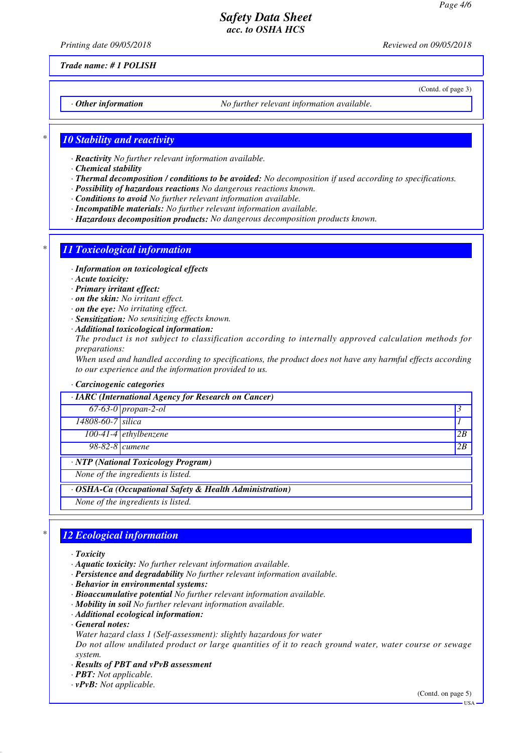*Printing date 09/05/2018 Reviewed on 09/05/2018*

(Contd. of page 3)

*Trade name: # 1 POLISH*

*· Other information No further relevant information available.*

## *\* 10 Stability and reactivity*

- *· Reactivity No further relevant information available.*
- *· Chemical stability*
- *· Thermal decomposition / conditions to be avoided: No decomposition if used according to specifications.*
- *· Possibility of hazardous reactions No dangerous reactions known.*
- *· Conditions to avoid No further relevant information available.*
- *· Incompatible materials: No further relevant information available.*
- *· Hazardous decomposition products: No dangerous decomposition products known.*

# *\* 11 Toxicological information*

- *· Information on toxicological effects*
- *· Acute toxicity:*
- *· Primary irritant effect:*
- *· on the skin: No irritant effect.*
- *· on the eye: No irritating effect.*
- *· Sensitization: No sensitizing effects known.*
- *· Additional toxicological information:*

*The product is not subject to classification according to internally approved calculation methods for preparations:*

*When used and handled according to specifications, the product does not have any harmful effects according to our experience and the information provided to us.*

# *· Carcinogenic categories*

| $\cdot$ IARC (International Agency for Research on Cancer) |                         |    |  |  |
|------------------------------------------------------------|-------------------------|----|--|--|
|                                                            | $67-63-0$ propan-2-ol   |    |  |  |
| 14808-60-7 silica                                          |                         |    |  |  |
|                                                            | $100-41-4$ ethylbenzene | 2B |  |  |
| 98-82-8 <i>cumene</i>                                      |                         | 2B |  |  |
| · NTP (National Toxicology Program)                        |                         |    |  |  |
| None of the ingredients is listed.                         |                         |    |  |  |
| · OSHA-Ca (Occupational Safety & Health Administration)    |                         |    |  |  |
| None of the ingredients is listed.                         |                         |    |  |  |

# *\* 12 Ecological information*

- *· Toxicity*
- *· Aquatic toxicity: No further relevant information available.*
- *· Persistence and degradability No further relevant information available.*
- *· Behavior in environmental systems:*
- *· Bioaccumulative potential No further relevant information available.*
- *· Mobility in soil No further relevant information available.*
- *· Additional ecological information:*
- *· General notes:*
- *Water hazard class 1 (Self-assessment): slightly hazardous for water*

*Do not allow undiluted product or large quantities of it to reach ground water, water course or sewage system.*

- *· Results of PBT and vPvB assessment*
- *· PBT: Not applicable.*
- *· vPvB: Not applicable.*

(Contd. on page 5)

USA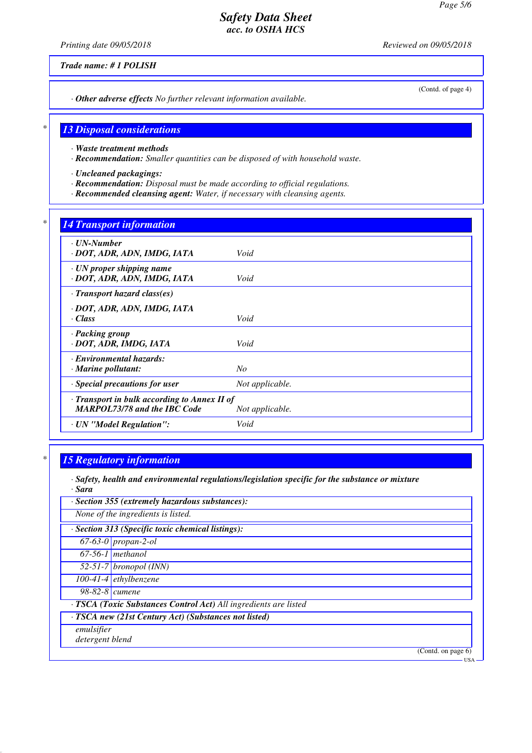*Printing date 09/05/2018 Reviewed on 09/05/2018*

*Trade name: # 1 POLISH*

(Contd. of page 4)

*· Other adverse effects No further relevant information available.*

## *\* 13 Disposal considerations*

- *· Waste treatment methods*
- *· Recommendation: Smaller quantities can be disposed of with household waste.*
- *· Uncleaned packagings:*
- *· Recommendation: Disposal must be made according to official regulations.*
- *· Recommended cleansing agent: Water, if necessary with cleansing agents.*

### *\* 14 Transport information*

| $\cdot$ UN-Number<br>· DOT, ADR, ADN, IMDG, IATA                                    | Void            |
|-------------------------------------------------------------------------------------|-----------------|
| $\cdot$ UN proper shipping name<br>· DOT, ADR, ADN, IMDG, IATA                      | Void            |
| $\cdot$ Transport hazard class(es)                                                  |                 |
| · DOT, ADR, ADN, IMDG, IATA<br>· Class                                              | Void            |
| · Packing group<br>· DOT, ADR, IMDG, IATA                                           | Void            |
| · Environmental hazards:<br>$\cdot$ Marine pollutant:                               | N <sub>O</sub>  |
| · Special precautions for user                                                      | Not applicable. |
| · Transport in bulk according to Annex II of<br><b>MARPOL73/78 and the IBC Code</b> | Not applicable. |
| · UN "Model Regulation":                                                            | Void            |
|                                                                                     |                 |

## *\* 15 Regulatory information*

- *· Safety, health and environmental regulations/legislation specific for the substance or mixture · Sara*
- *· Section 355 (extremely hazardous substances): None of the ingredients is listed. · Section 313 (Specific toxic chemical listings): 67-63-0 propan-2-ol 67-56-1 methanol 52-51-7 bronopol (INN) 100-41-4 ethylbenzene 98-82-8 cumene · TSCA (Toxic Substances Control Act) All ingredients are listed · TSCA new (21st Century Act) (Substances not listed) emulsifier detergent blend* (Contd. on page 6) USA